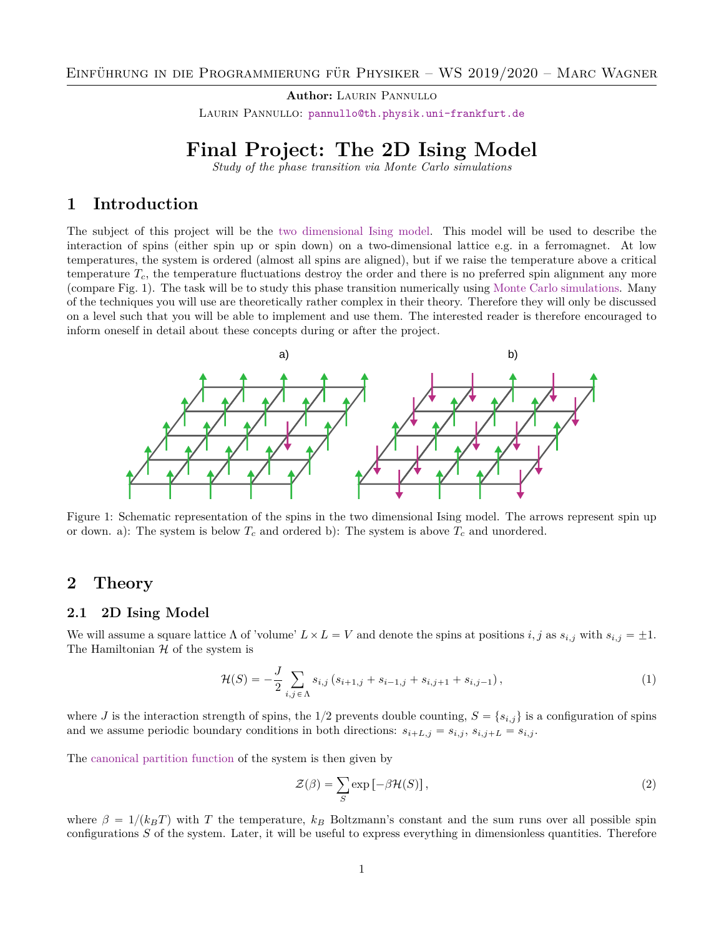**Author: LAURIN PANNULLO** LAURIN PANNULLO: [pannullo@th.physik.uni-frankfurt.de](mailto:pannullo@th.physik.uni-frankfurt.de)

## **Final Project: The 2D Ising Model**

*Study of the phase transition via Monte Carlo simulations*

## **1 Introduction**

The subject of this project will be the [two dimensional Ising model.](https://en.wikipedia.org/wiki/Ising_model) This model will be used to describe the interaction of spins (either spin up or spin down) on a two-dimensional lattice e.g. in a ferromagnet. At low temperatures, the system is ordered (almost all spins are aligned), but if we raise the temperature above a critical temperature  $T_c$ , the temperature fluctuations destroy the order and there is no preferred spin alignment any more (compare Fig. [1\)](#page-0-0). The task will be to study this phase transition numerically using [Monte Carlo simulations.](https://en.wikipedia.org/wiki/Monte_Carlo_method) Many of the techniques you will use are theoretically rather complex in their theory. Therefore they will only be discussed on a level such that you will be able to implement and use them. The interested reader is therefore encouraged to inform oneself in detail about these concepts during or after the project.

<span id="page-0-0"></span>

Figure 1: Schematic representation of the spins in the two dimensional Ising model. The arrows represent spin up or down. a): The system is below  $T_c$  and ordered b): The system is above  $T_c$  and unordered.

## **2 Theory**

#### **2.1 2D Ising Model**

We will assume a square lattice  $\Lambda$  of 'volume'  $L \times L = V$  and denote the spins at positions  $i, j$  as  $s_{i,j}$  with  $s_{i,j} = \pm 1$ . The Hamiltonian  $H$  of the system is

$$
\mathcal{H}(S) = -\frac{J}{2} \sum_{i,j \in \Lambda} s_{i,j} \left( s_{i+1,j} + s_{i-1,j} + s_{i,j+1} + s_{i,j-1} \right),\tag{1}
$$

where J is the interaction strength of spins, the  $1/2$  prevents double counting,  $S = \{s_{i,j}\}\$ is a configuration of spins and we assume periodic boundary conditions in both directions:  $s_{i+L,j} = s_{i,j}$ ,  $s_{i,j+L} = s_{i,j}$ .

The [canonical partition function](https://en.wikipedia.org/wiki/Partition_function_(statistical_mechanics)) of the system is then given by

$$
\mathcal{Z}(\beta) = \sum_{S} \exp\left[-\beta \mathcal{H}(S)\right],\tag{2}
$$

where  $\beta = 1/(k_BT)$  with T the temperature,  $k_B$  Boltzmann's constant and the sum runs over all possible spin configurations  $S$  of the system. Later, it will be useful to express everything in dimensionless quantities. Therefore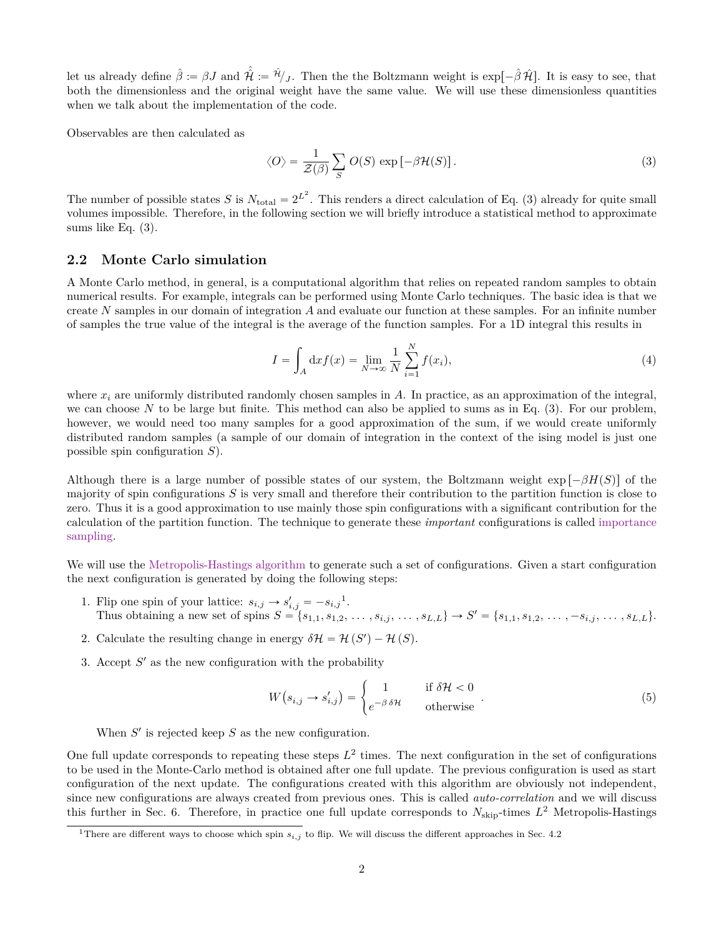let us already define  $\hat{\beta} := \beta J$  and  $\hat{\mathcal{H}} := \hat{H}_{J}$ . Then the the Boltzmann weight is  $\exp[-\hat{\beta} \hat{\mathcal{H}}]$ . It is easy to see, that both the dimensionless and the original weight have the same value. We will use these dimensionless quantities when we talk about the implementation of the code.

Observables are then calculated as

<span id="page-1-0"></span>
$$
\langle O \rangle = \frac{1}{\mathcal{Z}(\beta)} \sum_{S} O(S) \exp \left[ -\beta \mathcal{H}(S) \right]. \tag{3}
$$

The number of possible states S is  $N_{\text{total}} = 2^{L^2}$ . This renders a direct calculation of Eq. [\(3\)](#page-1-0) already for quite small volumes impossible. Therefore, in the following section we will briefly introduce a statistical method to approximate sums like Eq. [\(3\)](#page-1-0).

#### **2.2 Monte Carlo simulation**

A Monte Carlo method, in general, is a computational algorithm that relies on repeated random samples to obtain numerical results. For example, integrals can be performed using Monte Carlo techniques. The basic idea is that we create  $N$  samples in our domain of integration  $A$  and evaluate our function at these samples. For an infinite number of samples the true value of the integral is the average of the function samples. For a 1D integral this results in

$$
I = \int_{A} \mathrm{d}x f(x) = \lim_{N \to \infty} \frac{1}{N} \sum_{i=1}^{N} f(x_i), \tag{4}
$$

where  $x_i$  are uniformly distributed randomly chosen samples in A. In practice, as an approximation of the integral, we can choose N to be large but finite. This method can also be applied to sums as in Eq.  $(3)$ . For our problem, however, we would need too many samples for a good approximation of the sum, if we would create uniformly distributed random samples (a sample of our domain of integration in the context of the ising model is just one possible spin configuration  $S$ ).

Although there is a large number of possible states of our system, the Boltzmann weight  $\exp[-\beta H(S)]$  of the majority of spin configurations  $S$  is very small and therefore their contribution to the partition function is close to zero. Thus it is a good approximation to use mainly those spin configurations with a significant contribution for the calculation of the partition function. The technique to generate these *important* configurations is called [importance](https://en.wikipedia.org/wiki/Importance_sampling) [sampling.](https://en.wikipedia.org/wiki/Importance_sampling)

We will use the [Metropolis-Hastings algorithm](https://en.wikipedia.org/wiki/Metropolis-Hastings_algorithm) to generate such a set of configurations. Given a start configuration the next configuration is generated by doing the following steps:

- [1](#page-1-1). Flip one spin of your lattice:  $s_{i,j} \rightarrow s'_{i,j} = -s_{i,j}^{-1}$ . Thus obtaining a new set of spins  $S = \{s_{1,1}, s_{1,2}, \ldots, s_{i,j}, \ldots, s_{L,L}\} \rightarrow S' = \{s_{1,1}, s_{1,2}, \ldots, -s_{i,j}, \ldots, s_{L,L}\}.$
- 2. Calculate the resulting change in energy  $\delta \mathcal{H} = \mathcal{H}(S') \mathcal{H}(S)$ .
- 3. Accept  $S'$  as the new configuration with the probability

$$
W(s_{i,j} \to s'_{i,j}) = \begin{cases} 1 & \text{if } \delta \mathcal{H} < 0 \\ e^{-\beta \delta \mathcal{H}} & \text{otherwise} \end{cases} . \tag{5}
$$

When  $S'$  is rejected keep  $S$  as the new configuration.

One full update corresponds to repeating these steps  $L^2$  times. The next configuration in the set of configurations to be used in the Monte-Carlo method is obtained after one full update. The previous configuration is used as start configuration of the next update. The configurations created with this algorithm are obviously not independent, since new configurations are always created from previous ones. This is called *auto-correlation* and we will discuss this further in Sec. [6.](#page-10-0) Therefore, in practice one full update corresponds to  $N_{skip}$ -times  $L^2$  Metropolis-Hastings

<span id="page-1-1"></span><sup>&</sup>lt;sup>1</sup>There are different ways to choose which spin  $s_{i,j}$  to flip. We will discuss the different approaches in Sec. [4.2](#page-6-0)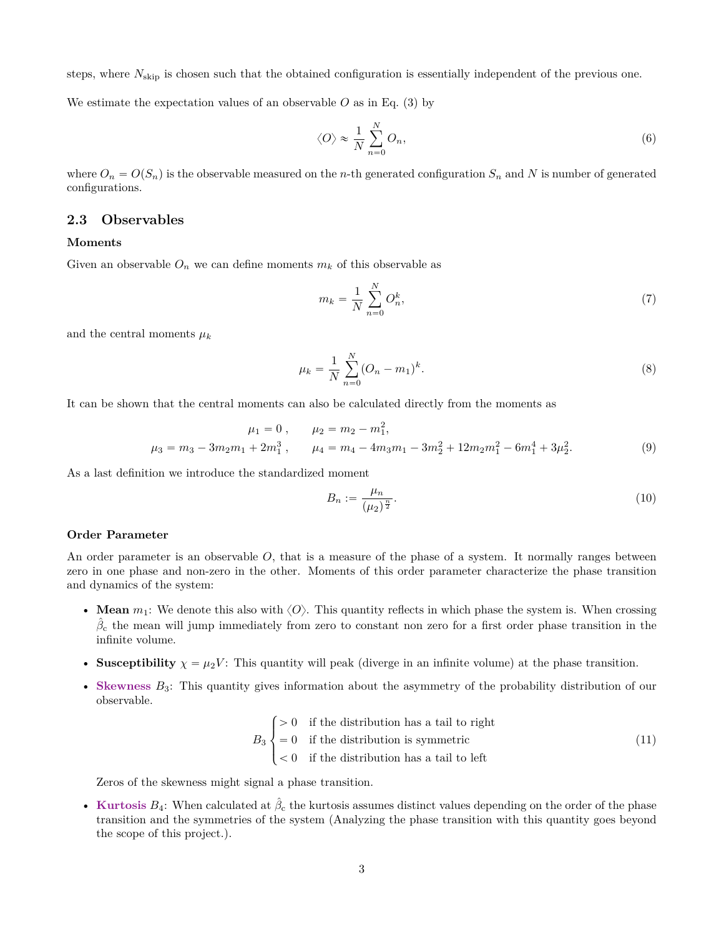steps, where  $N_{\text{skip}}$  is chosen such that the obtained configuration is essentially independent of the previous one.

We estimate the expectation values of an observable  $O$  as in Eq. [\(3\)](#page-1-0) by

$$
\langle O \rangle \approx \frac{1}{N} \sum_{n=0}^{N} O_n,\tag{6}
$$

where  $O_n = O(S_n)$  is the observable measured on the n-th generated configuration  $S_n$  and N is number of generated configurations.

#### <span id="page-2-0"></span>**2.3 Observables**

#### **Moments**

Given an observable  $O_n$  we can define moments  $m_k$  of this observable as

$$
m_k = \frac{1}{N} \sum_{n=0}^{N} O_n^k,
$$
\n(7)

and the central moments  $\mu_k$ 

$$
\mu_k = \frac{1}{N} \sum_{n=0}^{N} (O_n - m_1)^k.
$$
\n(8)

It can be shown that the central moments can also be calculated directly from the moments as

$$
\mu_1 = 0, \qquad \mu_2 = m_2 - m_1^2,
$$
  
\n
$$
\mu_3 = m_3 - 3m_2m_1 + 2m_1^3, \qquad \mu_4 = m_4 - 4m_3m_1 - 3m_2^2 + 12m_2m_1^2 - 6m_1^4 + 3\mu_2^2.
$$
\n(9)

As a last definition we introduce the standardized moment

$$
B_n := \frac{\mu_n}{(\mu_2)^{\frac{n}{2}}}.\tag{10}
$$

#### **Order Parameter**

An order parameter is an observable O, that is a measure of the phase of a system. It normally ranges between zero in one phase and non-zero in the other. Moments of this order parameter characterize the phase transition and dynamics of the system:

- **Mean**  $m_1$ : We denote this also with  $\langle O \rangle$ . This quantity reflects in which phase the system is. When crossing  $\hat{\beta}_{\rm c}$  the mean will jump immediately from zero to constant non zero for a first order phase transition in the infinite volume.
- **Susceptibility**  $\chi = \mu_2 V$ : This quantity will peak (diverge in an infinite volume) at the phase transition.
- **[Skewness](https://en.wikipedia.org/wiki/Skewness)**  $B_3$ : This quantity gives information about the asymmetry of the probability distribution of our observable.

$$
B_3 \begin{cases} > 0 & \text{if the distribution has a tail to right} \\ = 0 & \text{if the distribution is symmetric} \\ < 0 & \text{if the distribution has a tail to left} \end{cases} \tag{11}
$$

Zeros of the skewness might signal a phase transition.

• **[Kurtosis](https://en.wikipedia.org/wiki/Kurtosis)**  $B_4$ : When calculated at  $\hat{\beta}_c$  the kurtosis assumes distinct values depending on the order of the phase transition and the symmetries of the system (Analyzing the phase transition with this quantity goes beyond the scope of this project.).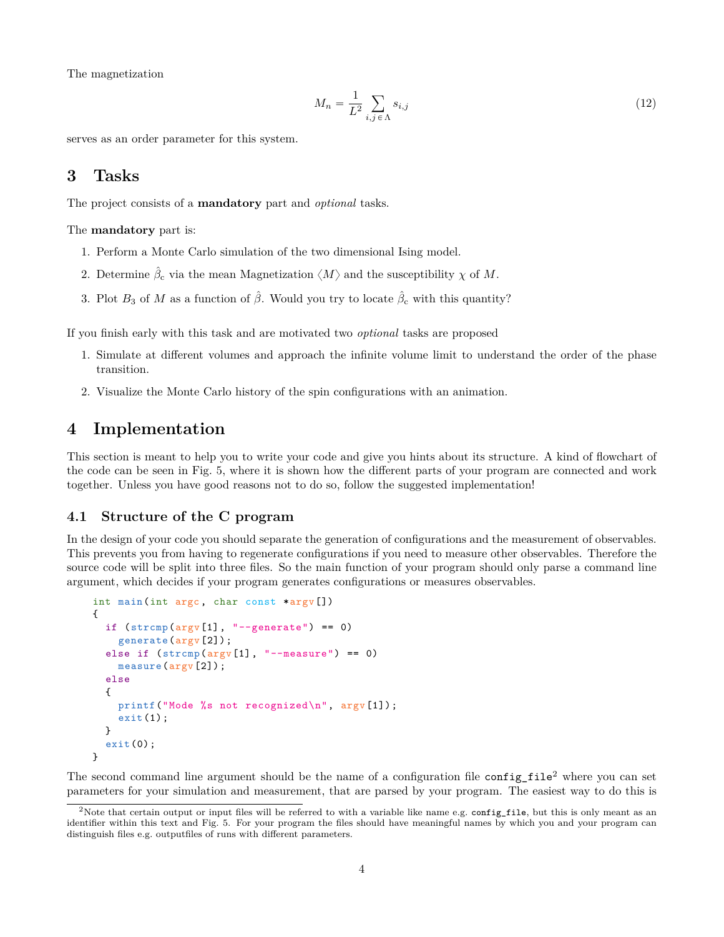The magnetization

<span id="page-3-1"></span>
$$
M_n = \frac{1}{L^2} \sum_{i,j \in \Lambda} s_{i,j} \tag{12}
$$

serves as an order parameter for this system.

## **3 Tasks**

The project consists of a **mandatory** part and *optional* tasks.

The **mandatory** part is:

- 1. Perform a Monte Carlo simulation of the two dimensional Ising model.
- 2. Determine  $\hat{\beta}_{\rm c}$  via the mean Magnetization  $\langle M \rangle$  and the susceptibility  $\chi$  of M.
- 3. Plot  $B_3$  of M as a function of  $\hat{\beta}$ . Would you try to locate  $\hat{\beta}_c$  with this quantity?

If you finish early with this task and are motivated two *optional* tasks are proposed

- 1. Simulate at different volumes and approach the infinite volume limit to understand the order of the phase transition.
- 2. Visualize the Monte Carlo history of the spin configurations with an animation.

## **4 Implementation**

This section is meant to help you to write your code and give you hints about its structure. A kind of flowchart of the code can be seen in Fig. [5,](#page-11-0) where it is shown how the different parts of your program are connected and work together. Unless you have good reasons not to do so, follow the suggested implementation!

#### **4.1 Structure of the C program**

In the design of your code you should separate the generation of configurations and the measurement of observables. This prevents you from having to regenerate configurations if you need to measure other observables. Therefore the source code will be split into three files. So the main function of your program should only parse a command line argument, which decides if your program generates configurations or measures observables.

```
int main(int argc, char const *argv[])
{
  if (strcmp(argv[1], "--generate") == 0)generate(argv[2]);
  else if (strcmp(argv[1], "--measure") == 0)
    measure(argv[2]);
  else
  {
    printf("Mode %s not recognized\n", argv[1]);
    exit(1);}
  exit(0);
}
```
The second command line argument should be the name of a configuration file configuration  $\phi$  where you can set parameters for your simulation and measurement, that are parsed by your program. The easiest way to do this is

<span id="page-3-0"></span><sup>&</sup>lt;sup>2</sup>Note that certain output or input files will be referred to with a variable like name e.g. config\_file, but this is only meant as an identifier within this text and Fig. [5.](#page-11-0) For your program the files should have meaningful names by which you and your program can distinguish files e.g. outputfiles of runs with different parameters.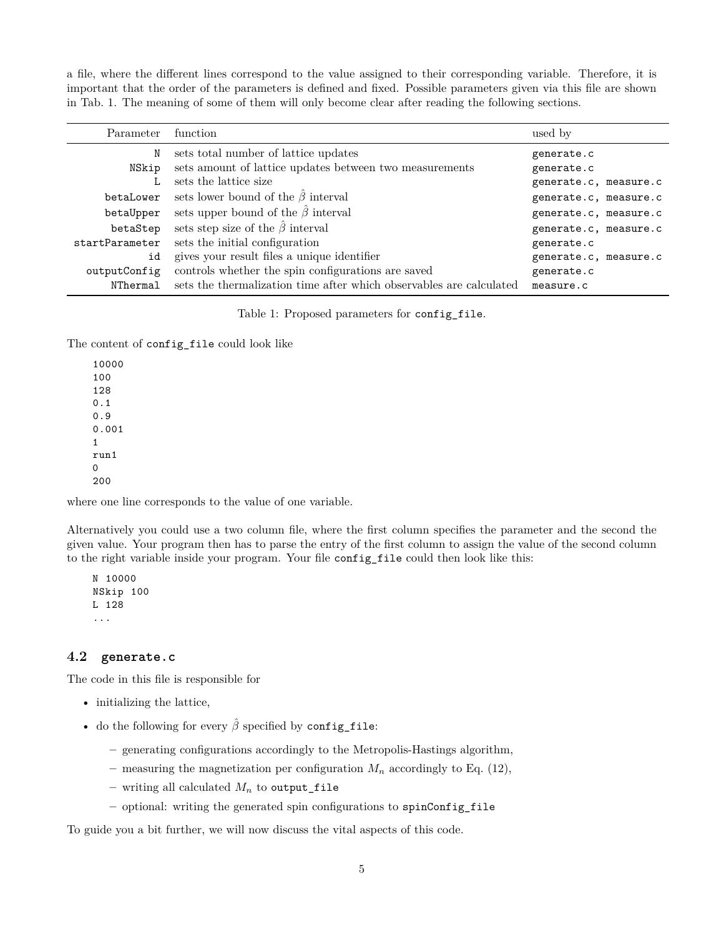a file, where the different lines correspond to the value assigned to their corresponding variable. Therefore, it is important that the order of the parameters is defined and fixed. Possible parameters given via this file are shown in Tab. [1.](#page-4-0) The meaning of some of them will only become clear after reading the following sections.

<span id="page-4-0"></span>

| Parameter function |                                                                     | used by               |
|--------------------|---------------------------------------------------------------------|-----------------------|
| N                  | sets total number of lattice updates                                | generate.c            |
| NSkip              | sets amount of lattice updates between two measurements             | generate.c            |
|                    | sets the lattice size                                               | generate.c, measure.c |
| betaLower          | sets lower bound of the $\hat{\beta}$ interval                      | generate.c, measure.c |
| betaUpper          | sets upper bound of the $\hat{\beta}$ interval                      | generate.c, measure.c |
| betaStep           | sets step size of the $\hat{\beta}$ interval                        | generate.c, measure.c |
| startParameter     | sets the initial configuration                                      | generate.c            |
| id                 | gives your result files a unique identifier                         | generate.c, measure.c |
| outputConfig       | controls whether the spin configurations are saved                  | generate.c            |
| NThermal           | sets the thermalization time after which observables are calculated | measure.c             |

Table 1: Proposed parameters for config\_file.

The content of config\_file could look like

10000 100 128 0.1 0.9 0.001 1 run1  $\Omega$ 200

where one line corresponds to the value of one variable.

Alternatively you could use a two column file, where the first column specifies the parameter and the second the given value. Your program then has to parse the entry of the first column to assign the value of the second column to the right variable inside your program. Your file config\_file could then look like this:

N 10000 NSkip 100 L 128 ...

#### **4.2 generate.c**

The code in this file is responsible for

- initializing the lattice,
- do the following for every  $\hat{\beta}$  specified by config\_file:
	- **–** generating configurations accordingly to the Metropolis-Hastings algorithm,
	- measuring the magnetization per configuration  $M_n$  accordingly to Eq. [\(12\)](#page-3-1),
	- writing all calculated  $M_n$  to output\_file
	- **–** optional: writing the generated spin configurations to spinConfig\_file

To guide you a bit further, we will now discuss the vital aspects of this code.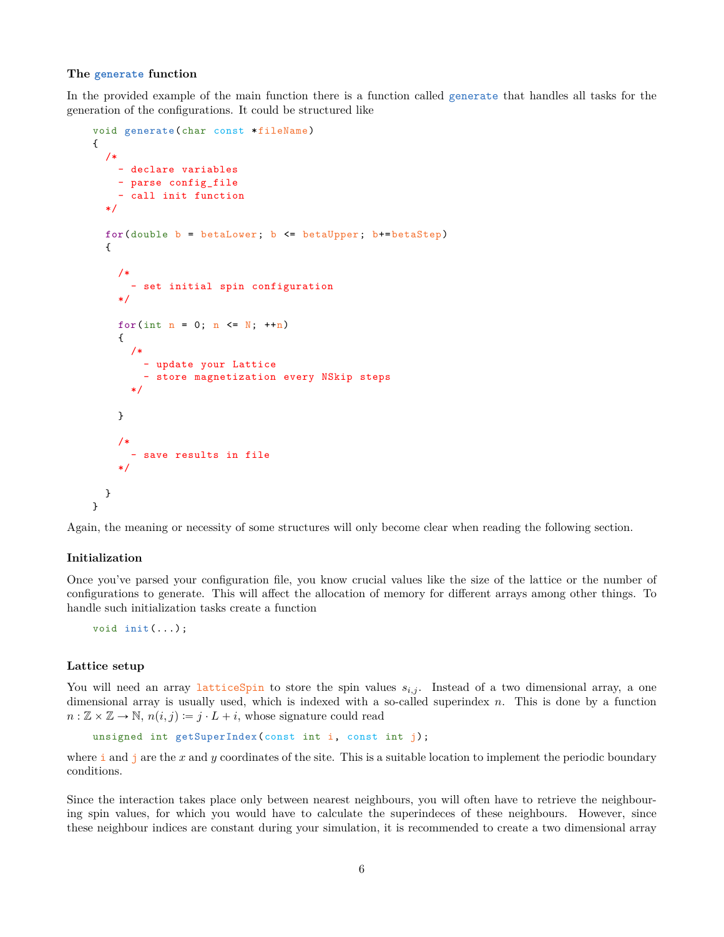#### **The generate function**

In the provided example of the main function there is a function called generate that handles all tasks for the generation of the configurations. It could be structured like

```
void generate(char const *fileName)
{
  /*
    - declare variables
    - parse config_file
    - call init function
  */
  for(double b = betaLower; b <= betaUpper; b+=betaStep)
  {
    /*
      - set initial spin configuration
    */
    for(int n = 0; n \leq N; +n)
    {
      /*
        - update your Lattice
        - store magnetization every NSkip steps
      */
    }
    /*
        save results in file
    */
  }
}
```
Again, the meaning or necessity of some structures will only become clear when reading the following section.

#### **Initialization**

Once you've parsed your configuration file, you know crucial values like the size of the lattice or the number of configurations to generate. This will affect the allocation of memory for different arrays among other things. To handle such initialization tasks create a function

```
void init(...);
```
#### **Lattice setup**

You will need an array latticeSpin to store the spin values  $s_{i,j}$ . Instead of a two dimensional array, a one dimensional array is usually used, which is indexed with a so-called superindex n. This is done by a function  $n : \mathbb{Z} \times \mathbb{Z} \to \mathbb{N}, n(i, j) := j \cdot L + i$ , whose signature could read

```
unsigned int getSuperIndex(const int i, const int j);
```
where  $\pm$  and  $\pm$  are the x and y coordinates of the site. This is a suitable location to implement the periodic boundary conditions.

Since the interaction takes place only between nearest neighbours, you will often have to retrieve the neighbouring spin values, for which you would have to calculate the superindeces of these neighbours. However, since these neighbour indices are constant during your simulation, it is recommended to create a two dimensional array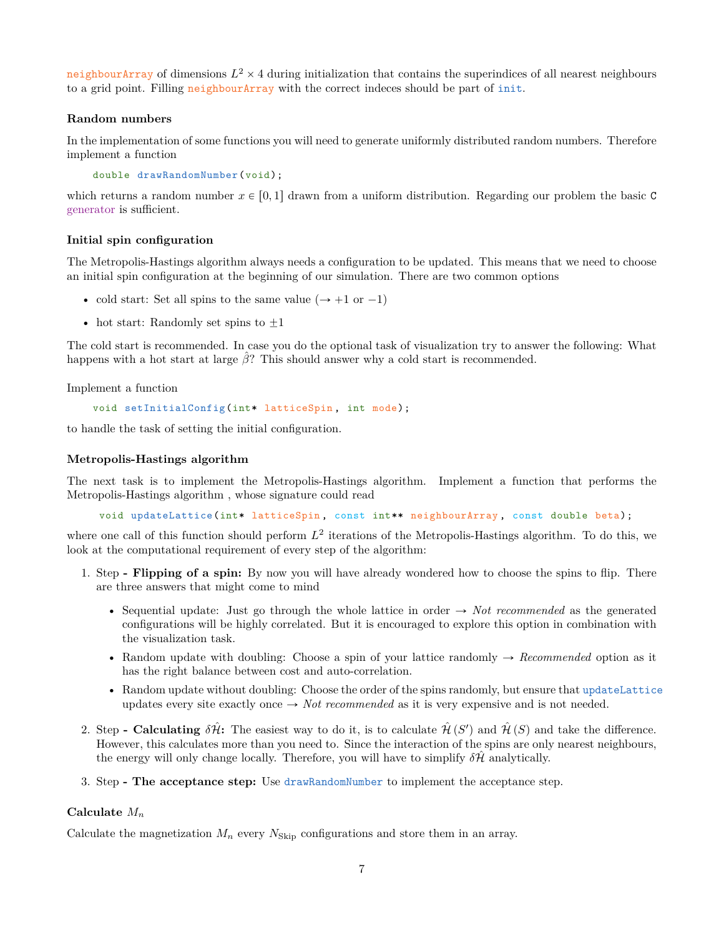neighbourArray of dimensions  $L^2 \times 4$  during initialization that contains the superindices of all nearest neighbours to a grid point. Filling neighbourArray with the correct indeces should be part of init.

#### **Random numbers**

In the implementation of some functions you will need to generate uniformly distributed random numbers. Therefore implement a function

```
double drawRandomNumber(void);
```
which returns a random number  $x \in [0, 1]$  drawn from a uniform distribution. Regarding our problem the basic C [generator](http://www.cplusplus.com/reference/cstdlib/rand/) is sufficient.

#### **Initial spin configuration**

The Metropolis-Hastings algorithm always needs a configuration to be updated. This means that we need to choose an initial spin configuration at the beginning of our simulation. There are two common options

- cold start: Set all spins to the same value  $(\rightarrow +1 \text{ or } -1)$
- hot start: Randomly set spins to  $\pm 1$

The cold start is recommended. In case you do the optional task of visualization try to answer the following: What happens with a hot start at large  $\hat{\beta}$ ? This should answer why a cold start is recommended.

Implement a function

```
void setInitialConfig(int* latticeSpin, int mode);
```
to handle the task of setting the initial configuration.

#### <span id="page-6-0"></span>**Metropolis-Hastings algorithm**

The next task is to implement the Metropolis-Hastings algorithm. Implement a function that performs the Metropolis-Hastings algorithm , whose signature could read

void updateLattice(int\* latticeSpin, const int\*\* neighbourArray, const double beta);

where one call of this function should perform  $L^2$  iterations of the Metropolis-Hastings algorithm. To do this, we look at the computational requirement of every step of the algorithm:

- 1. Step  **Flipping of a spin:** By now you will have already wondered how to choose the spins to flip. There are three answers that might come to mind
	- Sequential update: Just go through the whole lattice in order  $\rightarrow$  *Not recommended* as the generated configurations will be highly correlated. But it is encouraged to explore this option in combination with the visualization task.
	- Random update with doubling: Choose a spin of your lattice randomly  $\rightarrow$  *Recommended* option as it has the right balance between cost and auto-correlation.
	- Random update without doubling: Choose the order of the spins randomly, but ensure that updateLattice updates every site exactly once  $\rightarrow$  *Not recommended* as it is very expensive and is not needed.
- 2. Step  **Calculating**  $\delta \hat{\mathcal{H}}$ : The easiest way to do it, is to calculate  $\hat{\mathcal{H}}(S')$  and  $\hat{\mathcal{H}}(S)$  and take the difference. However, this calculates more than you need to. Since the interaction of the spins are only nearest neighbours, the energy will only change locally. Therefore, you will have to simplify  $\delta \mathcal{H}$  analytically.
- 3. Step  **The acceptance step:** Use drawRandomNumber to implement the acceptance step.

## **Calculate**  $M_n$

Calculate the magnetization  $M_n$  every  $N_{\text{Skip}}$  configurations and store them in an array.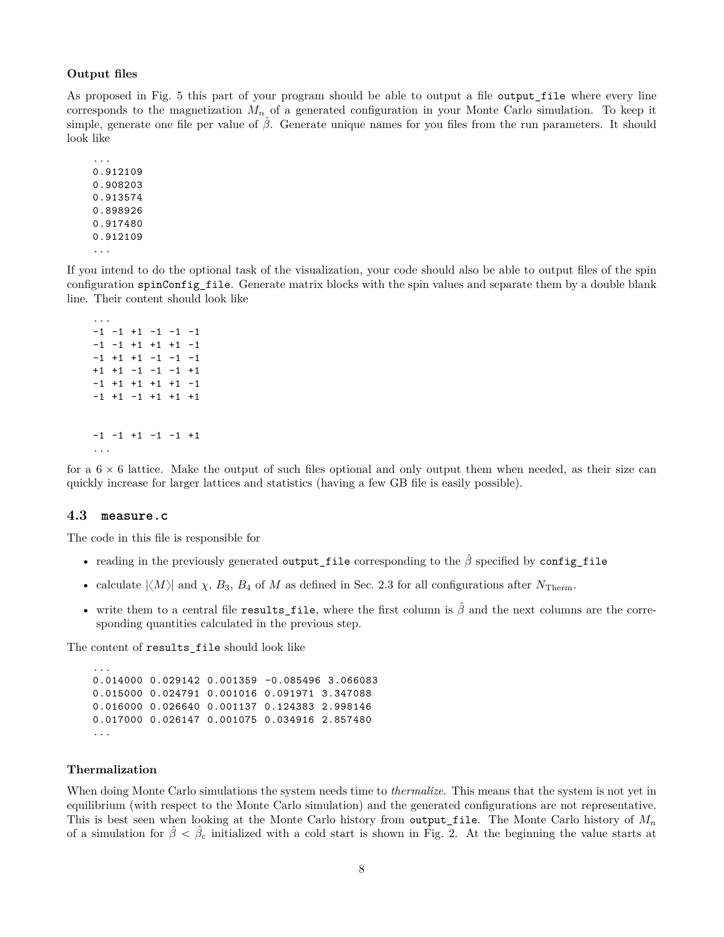#### **Output files**

As proposed in Fig. [5](#page-11-0) this part of your program should be able to output a file output\_file where every line corresponds to the magnetization  $M_n$  of a generated configuration in your Monte Carlo simulation. To keep it simple, generate one file per value of  $\hat{\beta}$ . Generate unique names for you files from the run parameters. It should look like

```
...
0.912109
0.908203
0.913574
0.898926
0.917480
0.912109
...
```
...

If you intend to do the optional task of the visualization, your code should also be able to output files of the spin configuration spinConfig\_file. Generate matrix blocks with the spin values and separate them by a double blank line. Their content should look like

```
-1 -1 +1 -1 -1 -1-1 -1 +1 +1 +1 -1-1 +1 +1 -1 -1 -1
+1 +1 -1 -1 -1 +1
-1 +1 +1 +1 +1 -1-1 +1 -1 +1 +1 +1
-1 -1 +1 -1 -1 +1
...
```
for a  $6 \times 6$  lattice. Make the output of such files optional and only output them when needed, as their size can quickly increase for larger lattices and statistics (having a few GB file is easily possible).

#### **4.3 measure.c**

The code in this file is responsible for

- reading in the previously generated output\_file corresponding to the  $\hat{\beta}$  specified by config\_file
- calculate  $|\langle M \rangle|$  and  $\chi$ ,  $B_3$ ,  $B_4$  of M as defined in Sec. [2.3](#page-2-0) for all configurations after  $N_{\text{Therm}}$ .
- write them to a central file results\_file, where the first column is  $\hat{\beta}$  and the next columns are the corresponding quantities calculated in the previous step.

The content of results\_file should look like

```
...
0.014000 0.029142 0.001359 -0.085496 3.066083
0.015000 0.024791 0.001016 0.091971 3.347088
0.016000 0.026640 0.001137 0.124383 2.998146
0.017000 0.026147 0.001075 0.034916 2.857480
...
```
#### **Thermalization**

When doing Monte Carlo simulations the system needs time to *thermalize*. This means that the system is not yet in equilibrium (with respect to the Monte Carlo simulation) and the generated configurations are not representative. This is best seen when looking at the Monte Carlo history from output\_file. The Monte Carlo history of  $M_n$ of a simulation for  $\hat{\beta} < \hat{\beta}_c$  initialized with a cold start is shown in Fig. [2.](#page-8-0) At the beginning the value starts at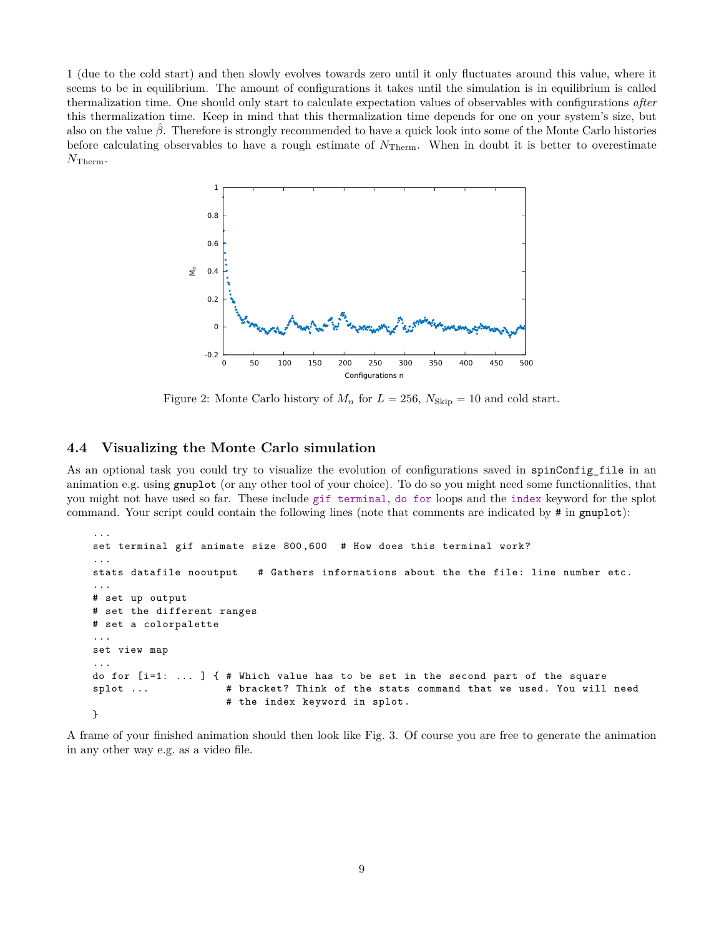<span id="page-8-0"></span>1 (due to the cold start) and then slowly evolves towards zero until it only fluctuates around this value, where it seems to be in equilibrium. The amount of configurations it takes until the simulation is in equilibrium is called thermalization time. One should only start to calculate expectation values of observables with configurations *after* this thermalization time. Keep in mind that this thermalization time depends for one on your system's size, but also on the value  $\beta$ . Therefore is strongly recommended to have a quick look into some of the Monte Carlo histories before calculating observables to have a rough estimate of  $N_{\text{Therm}}$ . When in doubt it is better to overestimate  $N_{\rm Therm}$ .



Figure 2: Monte Carlo history of  $M_n$  for  $L = 256$ ,  $N_{\text{skip}} = 10$  and cold start.

#### **4.4 Visualizing the Monte Carlo simulation**

...

As an optional task you could try to visualize the evolution of configurations saved in spinConfig file in an animation e.g. using gnuplot (or any other tool of your choice). To do so you might need some functionalities, that you might not have used so far. These include [gif terminal](http://gnuplot.sourceforge.net/docs_4.2/node378.html), [do for](http://www.gnuplotting.org/gnuplot-4-6-do/) loops and the [index](http://gnuplot.sourceforge.net/docs_4.2/node123.html#2184) keyword for the splot command. Your script could contain the following lines (note that comments are indicated by # in gnuplot):

```
configurations n<br>
configurations in the Carlo simulation<br>
try to visualize the evolution of<br>
r any other tool of your choice). T<br>
These include gif terminal, do<br>
that the following lines (note that<br>
the size 800,600 # How
set terminal gif animate size 800 ,600 # How does this terminal work?
...
stats datafile nooutput # Gathers informations about the the file: line number etc.
...
# set up output
# set the different ranges
# set a colorpalette
...
set view map
...
do for [i=1: ...] { # Which value has to be set in the second part of the square
splot ... # bracket? Think of the stats command that we used. You will need
                              # the index keyword in splot.
}
```
A frame of your finished animation should then look like Fig. [3.](#page-9-0) Of course you are free to generate the animation in any other way e.g. as a video file.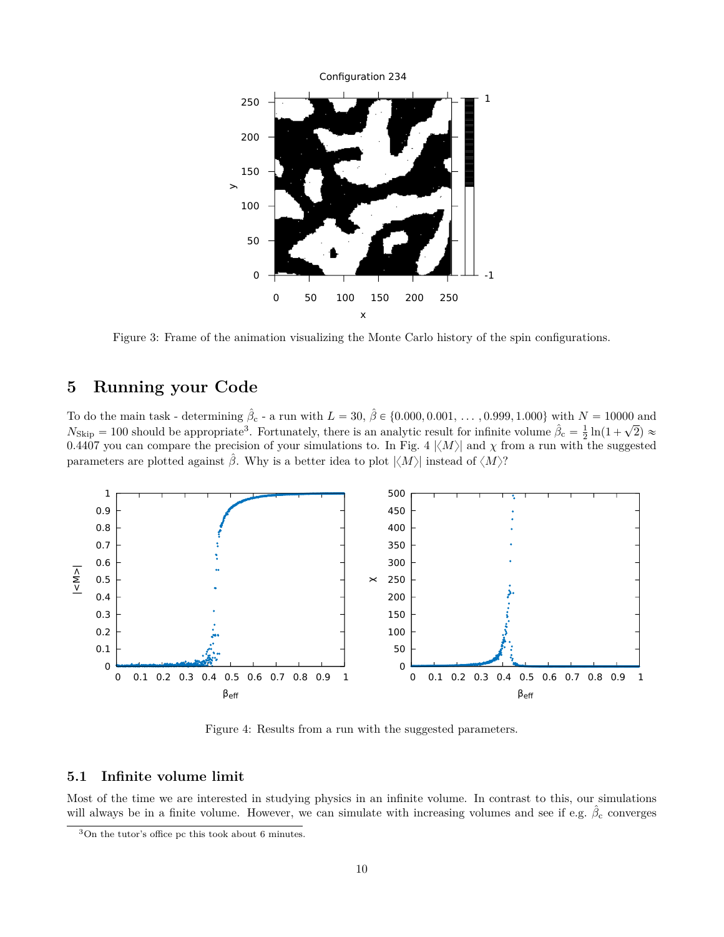

Figure 3: Frame of the animation visualizing the Monte Carlo history of the spin configurations.

## **5 Running your Code**

<span id="page-9-2"></span>To do the main task - determining  $\hat{\beta}_{c}$  - a run with  $L = 30, \hat{\beta} \in \{0.000, 0.001, \ldots, 0.999, 1.000\}$  with  $N = 10000$  and N<sub>Skip</sub> = 100 should be appropriate<sup>[3](#page-9-1)</sup>. Fortunately, there is an analytic result for infinite volume  $\hat{\beta}_c = \frac{1}{2} \ln(1 + \sqrt{2}) \approx$ 0.[4](#page-9-2)407 you can compare the precision of your simulations to. In Fig. 4  $\langle M \rangle$  and  $\chi$  from a run with the suggested parameters are plotted against  $\hat{\beta}$ . Why is a better idea to plot  $|\langle M \rangle|$  instead of  $\langle M \rangle$ ?

<span id="page-9-0"></span>

Figure 4: Results from a run with the suggested parameters.

#### **5.1 Infinite volume limit**

Most of the time we are interested in studying physics in an infinite volume. In contrast to this, our simulations will always be in a finite volume. However, we can simulate with increasing volumes and see if e.g.  $\hat{\beta}_{\rm c}$  converges

<span id="page-9-1"></span><sup>3</sup>On the tutor's office pc this took about 6 minutes.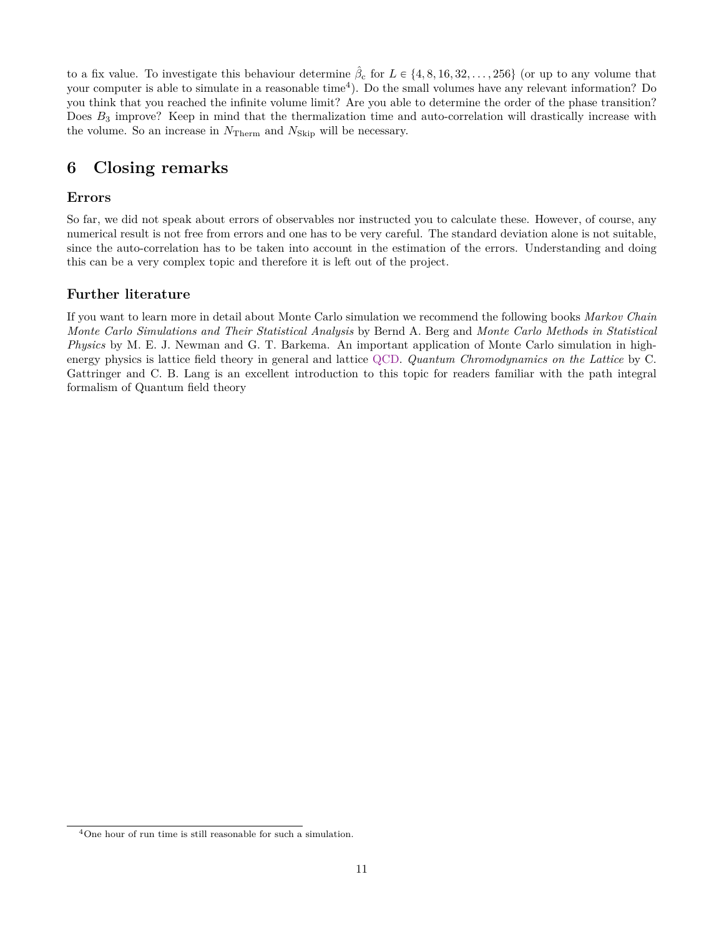to a fix value. To investigate this behaviour determine  $\hat{\beta}_{c}$  for  $L \in \{4, 8, 16, 32, \ldots, 256\}$  (or up to any volume that your computer is able to simulate in a reasonable time<sup>[4](#page-10-1)</sup>). Do the small volumes have any relevant information? Do you think that you reached the infinite volume limit? Are you able to determine the order of the phase transition? Does  $B_3$  improve? Keep in mind that the thermalization time and auto-correlation will drastically increase with the volume. So an increase in  $N_{\text{Therm}}$  and  $N_{\text{skip}}$  will be necessary.

## **6 Closing remarks**

### <span id="page-10-0"></span>**Errors**

So far, we did not speak about errors of observables nor instructed you to calculate these. However, of course, any numerical result is not free from errors and one has to be very careful. The standard deviation alone is not suitable, since the auto-correlation has to be taken into account in the estimation of the errors. Understanding and doing this can be a very complex topic and therefore it is left out of the project.

## **Further literature**

If you want to learn more in detail about Monte Carlo simulation we recommend the following books *Markov Chain Monte Carlo Simulations and Their Statistical Analysis* by Bernd A. Berg and *Monte Carlo Methods in Statistical Physics* by M. E. J. Newman and G. T. Barkema. An important application of Monte Carlo simulation in highenergy physics is lattice field theory in general and lattice [QCD.](https://en.wikipedia.org/wiki/Quantum_chromodynamics) *Quantum Chromodynamics on the Lattice* by C. Gattringer and C. B. Lang is an excellent introduction to this topic for readers familiar with the path integral formalism of Quantum field theory

<span id="page-10-1"></span><sup>4</sup>One hour of run time is still reasonable for such a simulation.